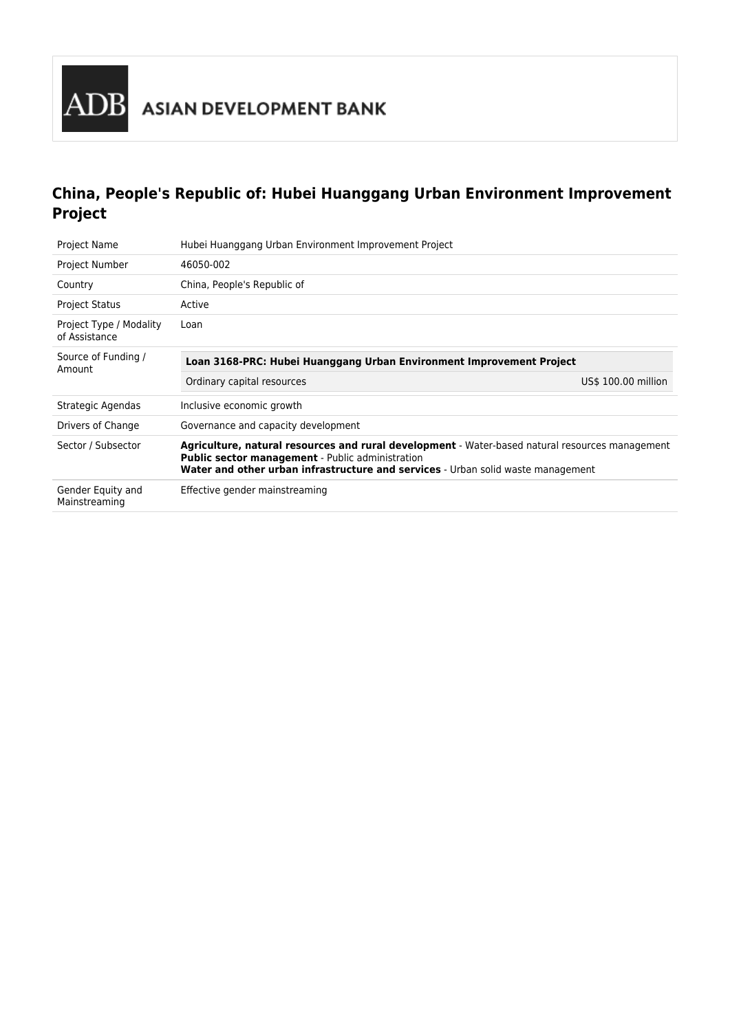

# **China, People's Republic of: Hubei Huanggang Urban Environment Improvement Project**

| <b>Project Name</b>                                                                                   | Hubei Huanggang Urban Environment Improvement Project                                                                                                                                                                                          |                     |
|-------------------------------------------------------------------------------------------------------|------------------------------------------------------------------------------------------------------------------------------------------------------------------------------------------------------------------------------------------------|---------------------|
| Project Number                                                                                        | 46050-002                                                                                                                                                                                                                                      |                     |
| Country                                                                                               | China, People's Republic of                                                                                                                                                                                                                    |                     |
| <b>Project Status</b>                                                                                 | Active                                                                                                                                                                                                                                         |                     |
| Project Type / Modality<br>of Assistance                                                              | Loan                                                                                                                                                                                                                                           |                     |
| Source of Funding /<br>Loan 3168-PRC: Hubei Huanggang Urban Environment Improvement Project<br>Amount |                                                                                                                                                                                                                                                |                     |
|                                                                                                       | Ordinary capital resources                                                                                                                                                                                                                     | US\$ 100.00 million |
| Strategic Agendas                                                                                     | Inclusive economic growth                                                                                                                                                                                                                      |                     |
| Drivers of Change                                                                                     | Governance and capacity development                                                                                                                                                                                                            |                     |
| Sector / Subsector                                                                                    | Agriculture, natural resources and rural development - Water-based natural resources management<br><b>Public sector management</b> - Public administration<br>Water and other urban infrastructure and services - Urban solid waste management |                     |
| Gender Equity and<br>Mainstreaming                                                                    | Effective gender mainstreaming                                                                                                                                                                                                                 |                     |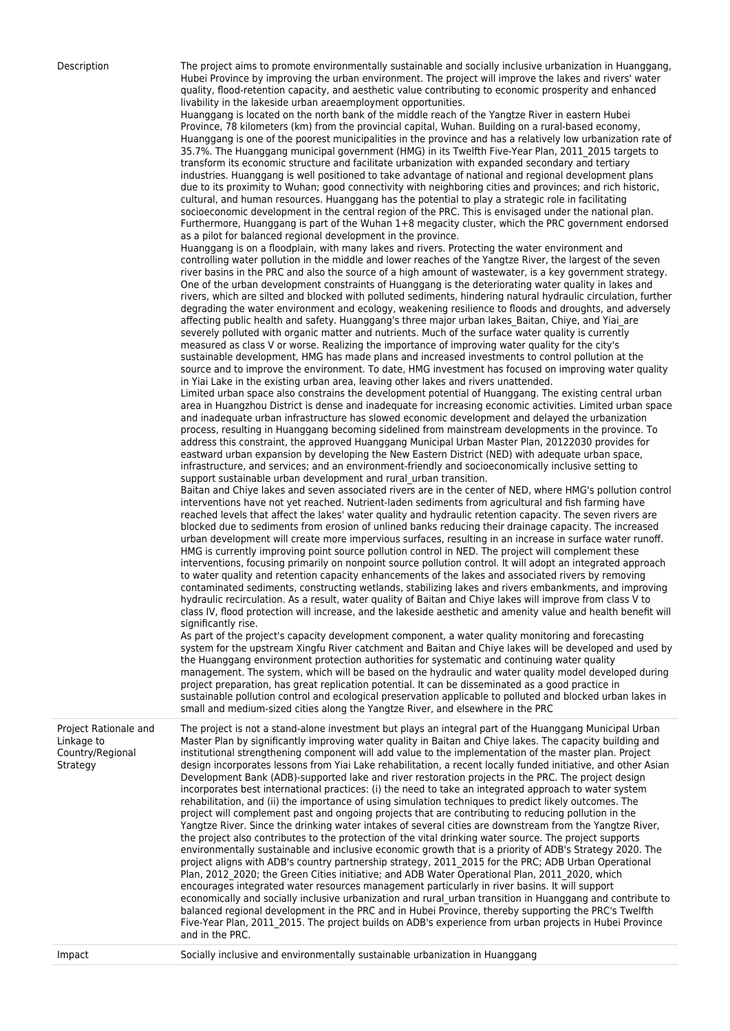Description The project aims to promote environmentally sustainable and socially inclusive urbanization in Huanggang, Hubei Province by improving the urban environment. The project will improve the lakes and rivers' water quality, flood-retention capacity, and aesthetic value contributing to economic prosperity and enhanced livability in the lakeside urban areaemployment opportunities.

Huanggang is located on the north bank of the middle reach of the Yangtze River in eastern Hubei Province, 78 kilometers (km) from the provincial capital, Wuhan. Building on a rural-based economy, Huanggang is one of the poorest municipalities in the province and has a relatively low urbanization rate of 35.7%. The Huanggang municipal government (HMG) in its Twelfth Five-Year Plan, 2011\_2015 targets to transform its economic structure and facilitate urbanization with expanded secondary and tertiary industries. Huanggang is well positioned to take advantage of national and regional development plans due to its proximity to Wuhan; good connectivity with neighboring cities and provinces; and rich historic, cultural, and human resources. Huanggang has the potential to play a strategic role in facilitating socioeconomic development in the central region of the PRC. This is envisaged under the national plan. Furthermore, Huanggang is part of the Wuhan 1+8 megacity cluster, which the PRC government endorsed as a pilot for balanced regional development in the province.

Huanggang is on a floodplain, with many lakes and rivers. Protecting the water environment and controlling water pollution in the middle and lower reaches of the Yangtze River, the largest of the seven river basins in the PRC and also the source of a high amount of wastewater, is a key government strategy. One of the urban development constraints of Huanggang is the deteriorating water quality in lakes and rivers, which are silted and blocked with polluted sediments, hindering natural hydraulic circulation, further degrading the water environment and ecology, weakening resilience to floods and droughts, and adversely affecting public health and safety. Huanggang's three major urban lakes Baitan, Chiye, and Yiai\_are severely polluted with organic matter and nutrients. Much of the surface water quality is currently measured as class V or worse. Realizing the importance of improving water quality for the city's sustainable development, HMG has made plans and increased investments to control pollution at the source and to improve the environment. To date, HMG investment has focused on improving water quality in Yiai Lake in the existing urban area, leaving other lakes and rivers unattended.

Limited urban space also constrains the development potential of Huanggang. The existing central urban area in Huangzhou District is dense and inadequate for increasing economic activities. Limited urban space and inadequate urban infrastructure has slowed economic development and delayed the urbanization process, resulting in Huanggang becoming sidelined from mainstream developments in the province. To address this constraint, the approved Huanggang Municipal Urban Master Plan, 20122030 provides for eastward urban expansion by developing the New Eastern District (NED) with adequate urban space, infrastructure, and services; and an environment-friendly and socioeconomically inclusive setting to support sustainable urban development and rural urban transition.

Baitan and Chiye lakes and seven associated rivers are in the center of NED, where HMG's pollution control interventions have not yet reached. Nutrient-laden sediments from agricultural and fish farming have reached levels that affect the lakes' water quality and hydraulic retention capacity. The seven rivers are blocked due to sediments from erosion of unlined banks reducing their drainage capacity. The increased urban development will create more impervious surfaces, resulting in an increase in surface water runoff. HMG is currently improving point source pollution control in NED. The project will complement these interventions, focusing primarily on nonpoint source pollution control. It will adopt an integrated approach to water quality and retention capacity enhancements of the lakes and associated rivers by removing contaminated sediments, constructing wetlands, stabilizing lakes and rivers embankments, and improving hydraulic recirculation. As a result, water quality of Baitan and Chiye lakes will improve from class V to class IV, flood protection will increase, and the lakeside aesthetic and amenity value and health benefit will significantly rise.

As part of the project's capacity development component, a water quality monitoring and forecasting system for the upstream Xingfu River catchment and Baitan and Chiye lakes will be developed and used by the Huanggang environment protection authorities for systematic and continuing water quality management. The system, which will be based on the hydraulic and water quality model developed during project preparation, has great replication potential. It can be disseminated as a good practice in sustainable pollution control and ecological preservation applicable to polluted and blocked urban lakes in small and medium-sized cities along the Yangtze River, and elsewhere in the PRC

Project Rationale and Linkage to Country/Regional Strategy The project is not a stand-alone investment but plays an integral part of the Huanggang Municipal Urban Master Plan by significantly improving water quality in Baitan and Chiye lakes. The capacity building and institutional strengthening component will add value to the implementation of the master plan. Project design incorporates lessons from Yiai Lake rehabilitation, a recent locally funded initiative, and other Asian Development Bank (ADB)-supported lake and river restoration projects in the PRC. The project design incorporates best international practices: (i) the need to take an integrated approach to water system rehabilitation, and (ii) the importance of using simulation techniques to predict likely outcomes. The project will complement past and ongoing projects that are contributing to reducing pollution in the Yangtze River. Since the drinking water intakes of several cities are downstream from the Yangtze River, the project also contributes to the protection of the vital drinking water source. The project supports environmentally sustainable and inclusive economic growth that is a priority of ADB's Strategy 2020. The project aligns with ADB's country partnership strategy, 2011\_2015 for the PRC; ADB Urban Operational Plan, 2012\_2020; the Green Cities initiative; and ADB Water Operational Plan, 2011\_2020, which encourages integrated water resources management particularly in river basins. It will support economically and socially inclusive urbanization and rural\_urban transition in Huanggang and contribute to balanced regional development in the PRC and in Hubei Province, thereby supporting the PRC's Twelfth Five-Year Plan, 2011\_2015. The project builds on ADB's experience from urban projects in Hubei Province and in the PRC.

Impact Socially inclusive and environmentally sustainable urbanization in Huanggang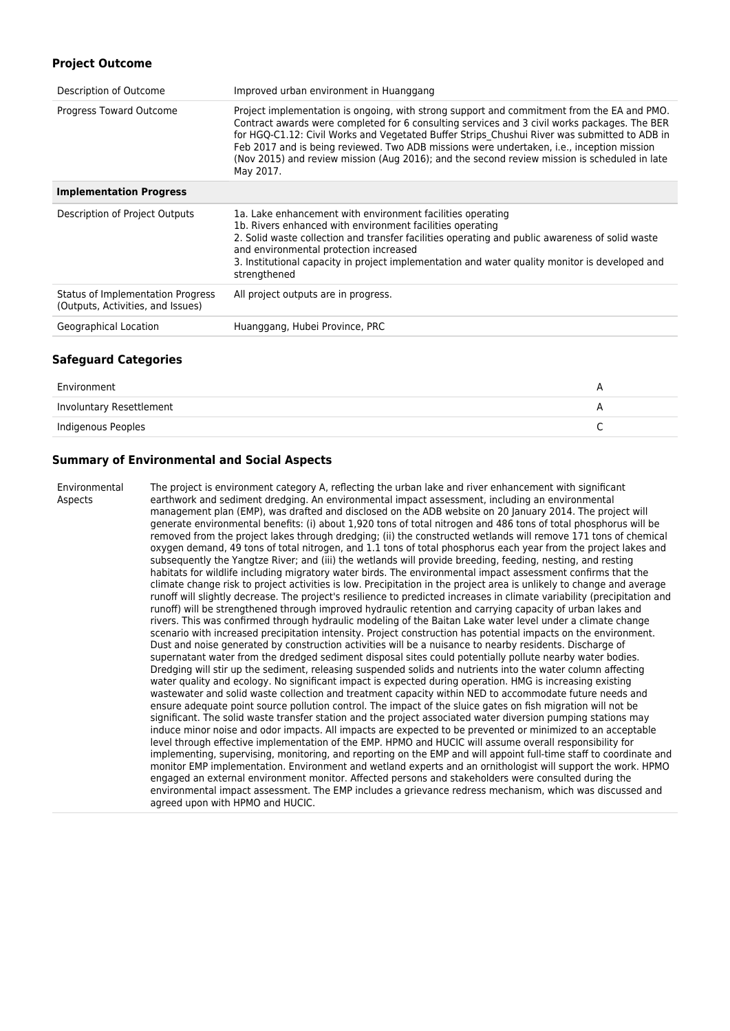### **Project Outcome**

| Description of Outcome                                                 | Improved urban environment in Huanggang                                                                                                                                                                                                                                                                                                                                                                                                                                                              |
|------------------------------------------------------------------------|------------------------------------------------------------------------------------------------------------------------------------------------------------------------------------------------------------------------------------------------------------------------------------------------------------------------------------------------------------------------------------------------------------------------------------------------------------------------------------------------------|
| Progress Toward Outcome                                                | Project implementation is ongoing, with strong support and commitment from the EA and PMO.<br>Contract awards were completed for 6 consulting services and 3 civil works packages. The BER<br>for HGQ-C1.12: Civil Works and Vegetated Buffer Strips Chushui River was submitted to ADB in<br>Feb 2017 and is being reviewed. Two ADB missions were undertaken, i.e., inception mission<br>(Nov 2015) and review mission (Aug 2016); and the second review mission is scheduled in late<br>May 2017. |
| <b>Implementation Progress</b>                                         |                                                                                                                                                                                                                                                                                                                                                                                                                                                                                                      |
| Description of Project Outputs                                         | 1a. Lake enhancement with environment facilities operating<br>1b. Rivers enhanced with environment facilities operating<br>2. Solid waste collection and transfer facilities operating and public awareness of solid waste<br>and environmental protection increased<br>3. Institutional capacity in project implementation and water quality monitor is developed and<br>strengthened                                                                                                               |
| Status of Implementation Progress<br>(Outputs, Activities, and Issues) | All project outputs are in progress.                                                                                                                                                                                                                                                                                                                                                                                                                                                                 |
| Geographical Location                                                  | Huanggang, Hubei Province, PRC                                                                                                                                                                                                                                                                                                                                                                                                                                                                       |
|                                                                        |                                                                                                                                                                                                                                                                                                                                                                                                                                                                                                      |

#### **Safeguard Categories**

| Involuntary Resettlement |  |
|--------------------------|--|
|                          |  |
| Indigenous Peoples       |  |

### **Summary of Environmental and Social Aspects**

Environmental Aspects

The project is environment category A, reflecting the urban lake and river enhancement with significant earthwork and sediment dredging. An environmental impact assessment, including an environmental management plan (EMP), was drafted and disclosed on the ADB website on 20 January 2014. The project will generate environmental benefits: (i) about 1,920 tons of total nitrogen and 486 tons of total phosphorus will be removed from the project lakes through dredging; (ii) the constructed wetlands will remove 171 tons of chemical oxygen demand, 49 tons of total nitrogen, and 1.1 tons of total phosphorus each year from the project lakes and subsequently the Yangtze River; and (iii) the wetlands will provide breeding, feeding, nesting, and resting habitats for wildlife including migratory water birds. The environmental impact assessment confirms that the climate change risk to project activities is low. Precipitation in the project area is unlikely to change and average runoff will slightly decrease. The project's resilience to predicted increases in climate variability (precipitation and runoff) will be strengthened through improved hydraulic retention and carrying capacity of urban lakes and rivers. This was confirmed through hydraulic modeling of the Baitan Lake water level under a climate change scenario with increased precipitation intensity. Project construction has potential impacts on the environment. Dust and noise generated by construction activities will be a nuisance to nearby residents. Discharge of supernatant water from the dredged sediment disposal sites could potentially pollute nearby water bodies. Dredging will stir up the sediment, releasing suspended solids and nutrients into the water column affecting water quality and ecology. No significant impact is expected during operation. HMG is increasing existing wastewater and solid waste collection and treatment capacity within NED to accommodate future needs and ensure adequate point source pollution control. The impact of the sluice gates on fish migration will not be significant. The solid waste transfer station and the project associated water diversion pumping stations may induce minor noise and odor impacts. All impacts are expected to be prevented or minimized to an acceptable level through effective implementation of the EMP. HPMO and HUCIC will assume overall responsibility for implementing, supervising, monitoring, and reporting on the EMP and will appoint full-time staff to coordinate and monitor EMP implementation. Environment and wetland experts and an ornithologist will support the work. HPMO engaged an external environment monitor. Affected persons and stakeholders were consulted during the environmental impact assessment. The EMP includes a grievance redress mechanism, which was discussed and agreed upon with HPMO and HUCIC.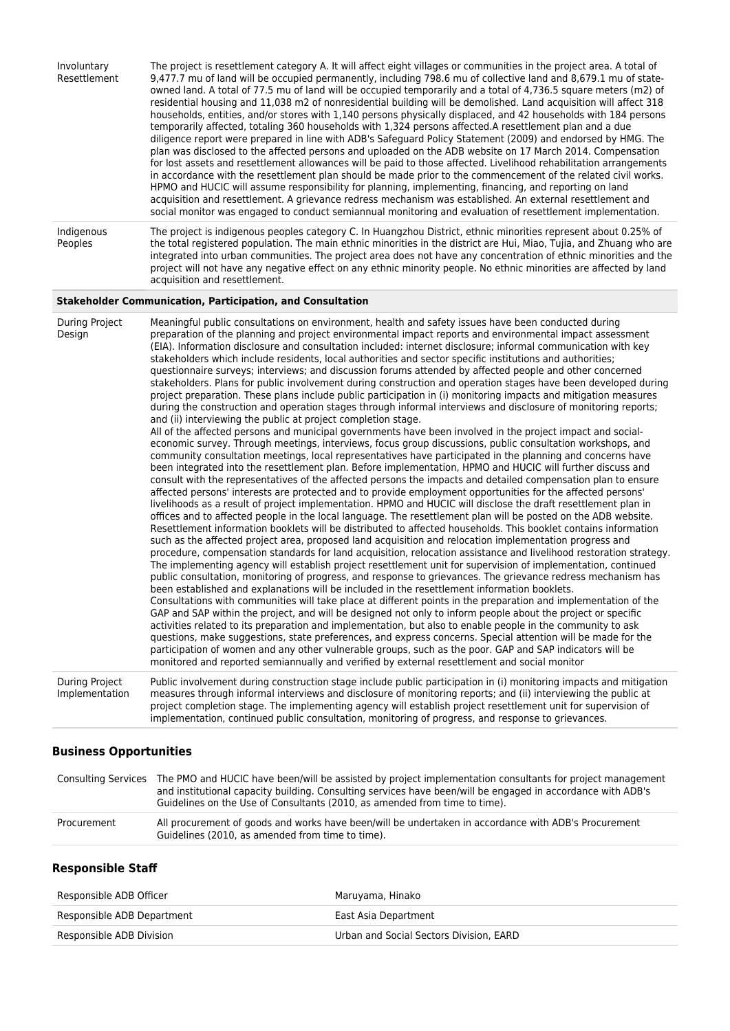| Involuntary<br>Resettlement | The project is resettlement category A. It will affect eight villages or communities in the project area. A total of<br>9,477.7 mu of land will be occupied permanently, including 798.6 mu of collective land and 8,679.1 mu of state-<br>owned land. A total of 77.5 mu of land will be occupied temporarily and a total of 4,736.5 square meters (m2) of<br>residential housing and 11,038 m2 of nonresidential building will be demolished. Land acquisition will affect 318<br>households, entities, and/or stores with 1,140 persons physically displaced, and 42 households with 184 persons<br>temporarily affected, totaling 360 households with 1,324 persons affected. A resettlement plan and a due<br>diligence report were prepared in line with ADB's Safeguard Policy Statement (2009) and endorsed by HMG. The<br>plan was disclosed to the affected persons and uploaded on the ADB website on 17 March 2014. Compensation<br>for lost assets and resettlement allowances will be paid to those affected. Livelihood rehabilitation arrangements<br>in accordance with the resettlement plan should be made prior to the commencement of the related civil works.<br>HPMO and HUCIC will assume responsibility for planning, implementing, financing, and reporting on land<br>acquisition and resettlement. A grievance redress mechanism was established. An external resettlement and<br>social monitor was engaged to conduct semiannual monitoring and evaluation of resettlement implementation. |
|-----------------------------|--------------------------------------------------------------------------------------------------------------------------------------------------------------------------------------------------------------------------------------------------------------------------------------------------------------------------------------------------------------------------------------------------------------------------------------------------------------------------------------------------------------------------------------------------------------------------------------------------------------------------------------------------------------------------------------------------------------------------------------------------------------------------------------------------------------------------------------------------------------------------------------------------------------------------------------------------------------------------------------------------------------------------------------------------------------------------------------------------------------------------------------------------------------------------------------------------------------------------------------------------------------------------------------------------------------------------------------------------------------------------------------------------------------------------------------------------------------------------------------------------------------------------|
| Indigenous<br>Peoples       | The project is indigenous peoples category C. In Huangzhou District, ethnic minorities represent about 0.25% of<br>the total registered population. The main ethnic minorities in the district are Hui, Miao, Tujia, and Zhuang who are<br>integrated into urban communities. The project area does not have any concentration of ethnic minorities and the<br>project will not have any negative effect on any ethnic minority people. No ethnic minorities are affected by land<br>acquisition and resettlement.                                                                                                                                                                                                                                                                                                                                                                                                                                                                                                                                                                                                                                                                                                                                                                                                                                                                                                                                                                                                       |

### **Stakeholder Communication, Participation, and Consultation**

| During Project<br>Design         | Meaningful public consultations on environment, health and safety issues have been conducted during<br>preparation of the planning and project environmental impact reports and environmental impact assessment<br>(EIA). Information disclosure and consultation included: internet disclosure; informal communication with key<br>stakeholders which include residents, local authorities and sector specific institutions and authorities;<br>questionnaire surveys; interviews; and discussion forums attended by affected people and other concerned<br>stakeholders. Plans for public involvement during construction and operation stages have been developed during<br>project preparation. These plans include public participation in (i) monitoring impacts and mitigation measures<br>during the construction and operation stages through informal interviews and disclosure of monitoring reports;<br>and (ii) interviewing the public at project completion stage.<br>All of the affected persons and municipal governments have been involved in the project impact and social-<br>economic survey. Through meetings, interviews, focus group discussions, public consultation workshops, and<br>community consultation meetings, local representatives have participated in the planning and concerns have<br>been integrated into the resettlement plan. Before implementation, HPMO and HUCIC will further discuss and<br>consult with the representatives of the affected persons the impacts and detailed compensation plan to ensure<br>affected persons' interests are protected and to provide employment opportunities for the affected persons'<br>livelihoods as a result of project implementation. HPMO and HUCIC will disclose the draft resettlement plan in<br>offices and to affected people in the local language. The resettlement plan will be posted on the ADB website.<br>Resettlement information booklets will be distributed to affected households. This booklet contains information<br>such as the affected project area, proposed land acquisition and relocation implementation progress and<br>procedure, compensation standards for land acquisition, relocation assistance and livelihood restoration strategy.<br>The implementing agency will establish project resettlement unit for supervision of implementation, continued<br>public consultation, monitoring of progress, and response to grievances. The grievance redress mechanism has<br>been established and explanations will be included in the resettlement information booklets.<br>Consultations with communities will take place at different points in the preparation and implementation of the<br>GAP and SAP within the project, and will be designed not only to inform people about the project or specific<br>activities related to its preparation and implementation, but also to enable people in the community to ask<br>questions, make suggestions, state preferences, and express concerns. Special attention will be made for the<br>participation of women and any other vulnerable groups, such as the poor. GAP and SAP indicators will be<br>monitored and reported semiannually and verified by external resettlement and social monitor |
|----------------------------------|----------------------------------------------------------------------------------------------------------------------------------------------------------------------------------------------------------------------------------------------------------------------------------------------------------------------------------------------------------------------------------------------------------------------------------------------------------------------------------------------------------------------------------------------------------------------------------------------------------------------------------------------------------------------------------------------------------------------------------------------------------------------------------------------------------------------------------------------------------------------------------------------------------------------------------------------------------------------------------------------------------------------------------------------------------------------------------------------------------------------------------------------------------------------------------------------------------------------------------------------------------------------------------------------------------------------------------------------------------------------------------------------------------------------------------------------------------------------------------------------------------------------------------------------------------------------------------------------------------------------------------------------------------------------------------------------------------------------------------------------------------------------------------------------------------------------------------------------------------------------------------------------------------------------------------------------------------------------------------------------------------------------------------------------------------------------------------------------------------------------------------------------------------------------------------------------------------------------------------------------------------------------------------------------------------------------------------------------------------------------------------------------------------------------------------------------------------------------------------------------------------------------------------------------------------------------------------------------------------------------------------------------------------------------------------------------------------------------------------------------------------------------------------------------------------------------------------------------------------------------------------------------------------------------------------------------------------------------------------------------------------------------------------------------------------------------------------------------------------------------------------------------------------------------------------------------------------------------------------------------------------------------------------|
| During Project<br>Implementation | Public involvement during construction stage include public participation in (i) monitoring impacts and mitigation<br>measures through informal interviews and disclosure of monitoring reports; and (ii) interviewing the public at<br>project completion stage. The implementing agency will establish project resettlement unit for supervision of<br>implementation, continued public consultation, monitoring of progress, and response to grievances.                                                                                                                                                                                                                                                                                                                                                                                                                                                                                                                                                                                                                                                                                                                                                                                                                                                                                                                                                                                                                                                                                                                                                                                                                                                                                                                                                                                                                                                                                                                                                                                                                                                                                                                                                                                                                                                                                                                                                                                                                                                                                                                                                                                                                                                                                                                                                                                                                                                                                                                                                                                                                                                                                                                                                                                                                      |

# **Business Opportunities**

|             | Consulting Services The PMO and HUCIC have been/will be assisted by project implementation consultants for project management<br>and institutional capacity building. Consulting services have been/will be engaged in accordance with ADB's<br>Guidelines on the Use of Consultants (2010, as amended from time to time). |
|-------------|----------------------------------------------------------------------------------------------------------------------------------------------------------------------------------------------------------------------------------------------------------------------------------------------------------------------------|
| Procurement | All procurement of goods and works have been/will be undertaken in accordance with ADB's Procurement<br>Guidelines (2010, as amended from time to time).                                                                                                                                                                   |

## **Responsible Staff**

| Responsible ADB Officer    | Maruyama, Hinako                        |
|----------------------------|-----------------------------------------|
| Responsible ADB Department | East Asia Department                    |
| Responsible ADB Division   | Urban and Social Sectors Division. EARD |